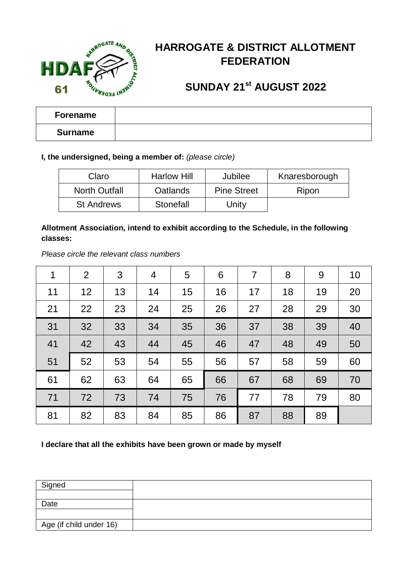

## **HARROGATE & DISTRICT ALLOTMENT FEDERATION**

### **SUNDAY 21st AUGUST 2022**

| <b>Forename</b> |  |
|-----------------|--|
| Surname         |  |

### **I, the undersigned, being a member of:** *(please circle)*

| Claro                | <b>Harlow Hill</b> | Jubilee            | Knaresborough |  |
|----------------------|--------------------|--------------------|---------------|--|
| <b>North Outfall</b> | Oatlands           | <b>Pine Street</b> | Ripon         |  |
| <b>St Andrews</b>    | Stonefall          | Unity              |               |  |

### **Allotment Association, intend to exhibit according to the Schedule, in the following classes:**

*Please circle the relevant class numbers* 

| 1  | 2  | 3  | 4  | 5  | 6  | 7  | 8  | 9  | 10 |
|----|----|----|----|----|----|----|----|----|----|
| 11 | 12 | 13 | 14 | 15 | 16 | 17 | 18 | 19 | 20 |
| 21 | 22 | 23 | 24 | 25 | 26 | 27 | 28 | 29 | 30 |
| 31 | 32 | 33 | 34 | 35 | 36 | 37 | 38 | 39 | 40 |
| 41 | 42 | 43 | 44 | 45 | 46 | 47 | 48 | 49 | 50 |
| 51 | 52 | 53 | 54 | 55 | 56 | 57 | 58 | 59 | 60 |
| 61 | 62 | 63 | 64 | 65 | 66 | 67 | 68 | 69 | 70 |
| 71 | 72 | 73 | 74 | 75 | 76 | 77 | 78 | 79 | 80 |
| 81 | 82 | 83 | 84 | 85 | 86 | 87 | 88 | 89 |    |

#### **I declare that all the exhibits have been grown or made by myself**

| Signed                  |  |
|-------------------------|--|
|                         |  |
| Date                    |  |
|                         |  |
| Age (if child under 16) |  |